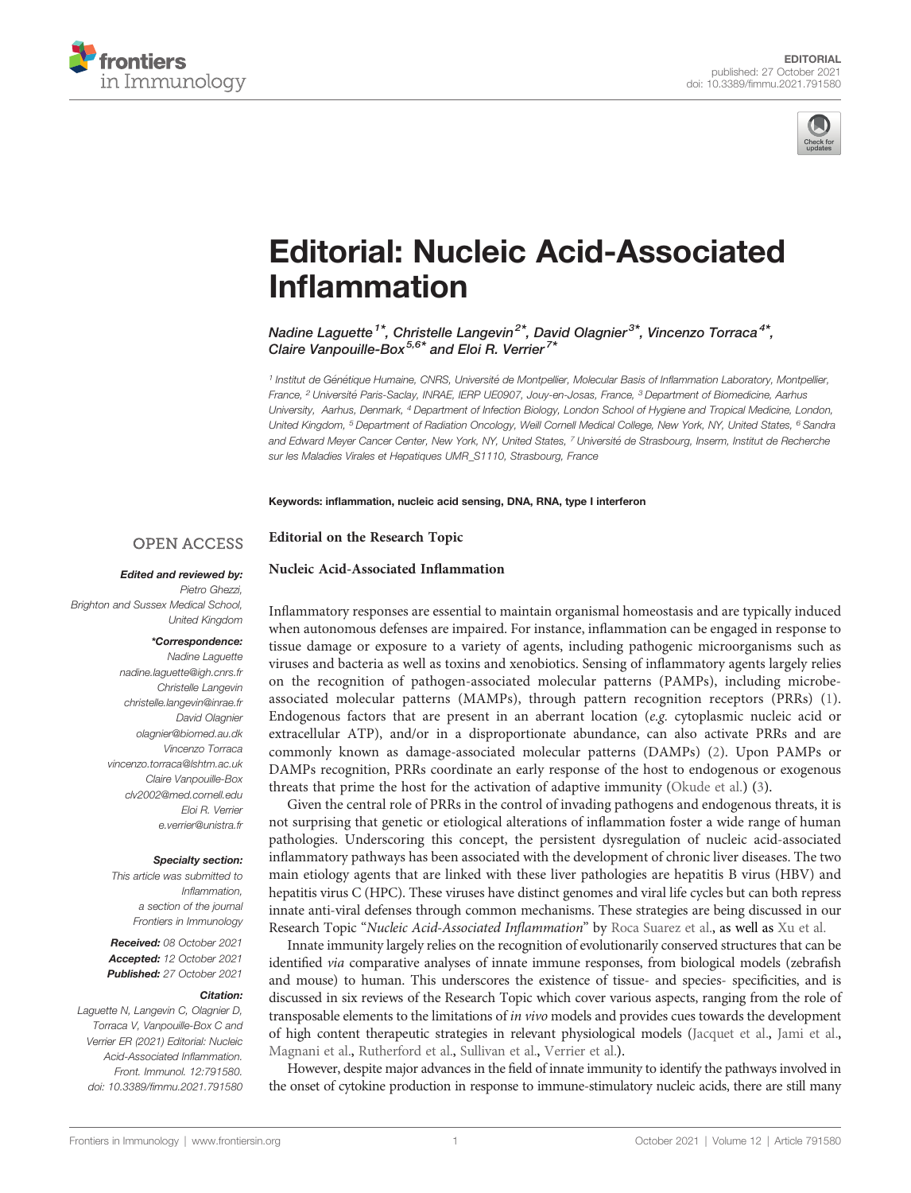



# [Editorial: Nucleic Acid-Associated](https://www.frontiersin.org/articles/10.3389/fimmu.2021.791580/full) Infl[ammation](https://www.frontiersin.org/articles/10.3389/fimmu.2021.791580/full)

Nadine Laguette<sup>1\*</sup>, Christelle Langevin<sup>2\*</sup>, David Olagnier<sup>3\*</sup>, Vincenzo Torraca<sup>4\*</sup>, Claire Vanpouille-Box<sup>5,6\*</sup> and Eloi R. Verrier<sup>7\*</sup>

<sup>1</sup> Institut de Génétique Humaine, CNRS, Université de Montpellier, Molecular Basis of Inflammation Laboratory, Montpellier, France, <sup>2</sup> Université Paris-Saclay, INRAE, IERP UE0907, Jouy-en-Josas, France, <sup>3</sup> Department of Biomedicine, Aarhus University, Aarhus, Denmark, <sup>4</sup> Department of Infection Biology, London School of Hygiene and Tropical Medicine, London, United Kingdom, <sup>5</sup> Department of Radiation Oncology, Weill Cornell Medical College, New York, NY, United States, <sup>6</sup> Sandra and Edward Meyer Cancer Center, New York, NY, United States, 7 Université de Strasbourg, Inserm, Institut de Recherche sur les Maladies Virales et Hepatiques UMR\_S1110, Strasbourg, France

Keywords: inflammation, nucleic acid sensing, DNA, RNA, type I interferon

#### Editorial on the Research Topic **OPEN ACCESS**

[Nucleic Acid-Associated In](https://www.frontiersin.org/research-topics/14118/nucleic-acid-associated-inflammation#)flammation

## Edited and reviewed by:

Pietro Ghezzi, Brighton and Sussex Medical School, United Kingdom

## \*Correspondence:

Nadine Laguette [nadine.laguette@igh.cnrs.fr](mailto:nadine.laguette@igh.cnrs.fr) Christelle Langevin [christelle.langevin@inrae.fr](mailto:christelle.langevin@inrae.fr) David Olagnier [olagnier@biomed.au.dk](mailto:olagnier@biomed.au.dk) Vincenzo Torraca [vincenzo.torraca@lshtm.ac.uk](mailto:vincenzo.torraca@lshtm.ac.uk) Claire Vanpouille-Box [clv2002@med.cornell.edu](mailto:clv2002@med.cornell.edu) Eloi R. Verrier [e.verrier@unistra.fr](mailto:e.verrier@unistra.fr)

#### Specialty section:

This article was submitted to Inflammation, a section of the journal Frontiers in Immunology

Received: 08 October 2021 Accepted: 12 October 2021 Published: 27 October 2021

### Citation:

Laguette N, Langevin C, Olagnier D, Torraca V, Vanpouille-Box C and Verrier ER (2021) Editorial: Nucleic Acid-Associated Inflammation. Front. Immunol. 12:791580. [doi: 10.3389/fimmu.2021.791580](https://doi.org/10.3389/fimmu.2021.791580) Inflammatory responses are essential to maintain organismal homeostasis and are typically induced when autonomous defenses are impaired. For instance, inflammation can be engaged in response to tissue damage or exposure to a variety of agents, including pathogenic microorganisms such as viruses and bacteria as well as toxins and xenobiotics. Sensing of inflammatory agents largely relies on the recognition of pathogen-associated molecular patterns (PAMPs), including microbeassociated molecular patterns (MAMPs), through pattern recognition receptors (PRRs) ([1](#page-1-0)). Endogenous factors that are present in an aberrant location (e.g. cytoplasmic nucleic acid or extracellular ATP), and/or in a disproportionate abundance, can also activate PRRs and are commonly known as damage-associated molecular patterns (DAMPs) ([2\)](#page-1-0). Upon PAMPs or DAMPs recognition, PRRs coordinate an early response of the host to endogenous or exogenous threats that prime the host for the activation of adaptive immunity ([Okude et al.\)](https://doi.org/10.3389/fimmu.2020.625833) ([3](#page-1-0)).

Given the central role of PRRs in the control of invading pathogens and endogenous threats, it is not surprising that genetic or etiological alterations of inflammation foster a wide range of human pathologies. Underscoring this concept, the persistent dysregulation of nucleic acid-associated inflammatory pathways has been associated with the development of chronic liver diseases. The two main etiology agents that are linked with these liver pathologies are hepatitis B virus (HBV) and hepatitis virus C (HPC). These viruses have distinct genomes and viral life cycles but can both repress innate anti-viral defenses through common mechanisms. These strategies are being discussed in our Research Topic "Nucleic Acid-Associated Inflammation" by [Roca Suarez et al.,](https://doi.org/10.3389/fimmu.2020.624034) as well as [Xu et al.](https://doi.org/10.3389/fimmu.2021.682736)

Innate immunity largely relies on the recognition of evolutionarily conserved structures that can be identified via comparative analyses of innate immune responses, from biological models (zebrafish and mouse) to human. This underscores the existence of tissue- and species- specificities, and is discussed in six reviews of the Research Topic which cover various aspects, ranging from the role of transposable elements to the limitations of in vivo models and provides cues towards the development of high content therapeutic strategies in relevant physiological models ([Jacquet et al.](https://doi.org/10.3389/fimmu.2020.605270), [Jami et al.,](https://doi.org/10.3389/fimmu.2021.679242) [Magnani et al.,](https://doi.org/10.3389/fimmu.2021.627926) [Rutherford et al.](https://doi.org/10.3389/fimmu.2020.623650), [Sullivan et al.,](https://doi.org/10.3389/fimmu.2021.636623) [Verrier et al.](https://doi.org/10.3389/fimmu.2021.637399)).

However, despite major advances in the field of innate immunity to identify the pathways involved in the onset of cytokine production in response to immune-stimulatory nucleic acids, there are still many